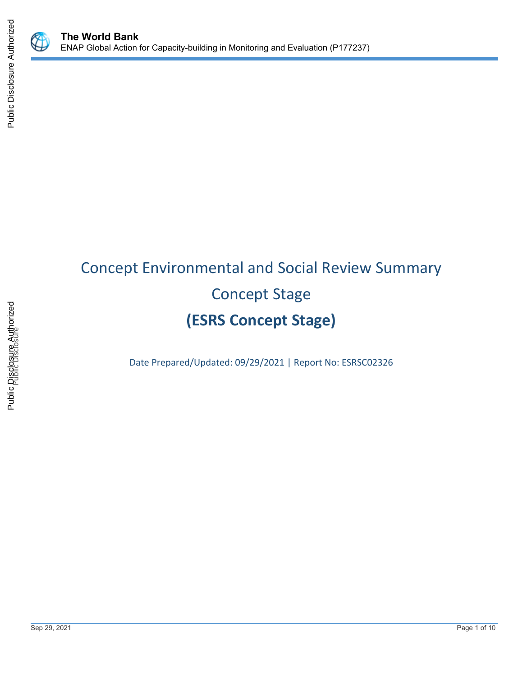

# Concept Environmental and Social Review Summary Concept Stage **(ESRS Concept Stage)**

Date Prepared/Updated: 09/29/2021 | Report No: ESRSC02326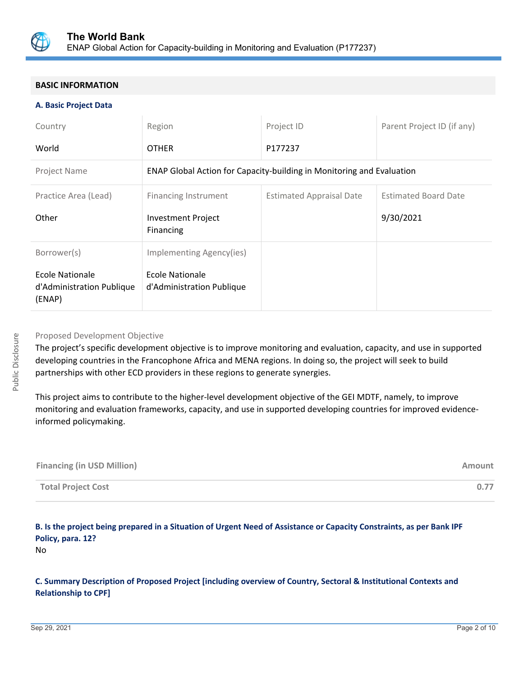

#### **BASIC INFORMATION**

#### **A. Basic Project Data**

| Country                                                | Region                                                                | Project ID                      | Parent Project ID (if any)  |  |  |
|--------------------------------------------------------|-----------------------------------------------------------------------|---------------------------------|-----------------------------|--|--|
| World                                                  | <b>OTHER</b>                                                          | P177237                         |                             |  |  |
| Project Name                                           | ENAP Global Action for Capacity-building in Monitoring and Evaluation |                                 |                             |  |  |
| Practice Area (Lead)                                   | <b>Financing Instrument</b>                                           | <b>Estimated Appraisal Date</b> | <b>Estimated Board Date</b> |  |  |
| Other                                                  | <b>Investment Project</b><br>Financing                                |                                 | 9/30/2021                   |  |  |
| Borrower(s)                                            | Implementing Agency(ies)                                              |                                 |                             |  |  |
| Ecole Nationale<br>d'Administration Publique<br>(ENAP) | Ecole Nationale<br>d'Administration Publique                          |                                 |                             |  |  |

#### Proposed Development Objective

The project's specific development objective is to improve monitoring and evaluation, capacity, and use in supported developing countries in the Francophone Africa and MENA regions. In doing so, the project will seek to build partnerships with other ECD providers in these regions to generate synergies.

This project aims to contribute to the higher-level development objective of the GEI MDTF, namely, to improve monitoring and evaluation frameworks, capacity, and use in supported developing countries for improved evidenceinformed policymaking.

| <b>Financing (in USD Million)</b> | Amount |
|-----------------------------------|--------|
| <b>Total Project Cost</b>         | 0.77   |

## **B. Is the project being prepared in a Situation of Urgent Need of Assistance or Capacity Constraints, as per Bank IPF Policy, para. 12?**

No

#### **C. Summary Description of Proposed Project [including overview of Country, Sectoral & Institutional Contexts and Relationship to CPF]**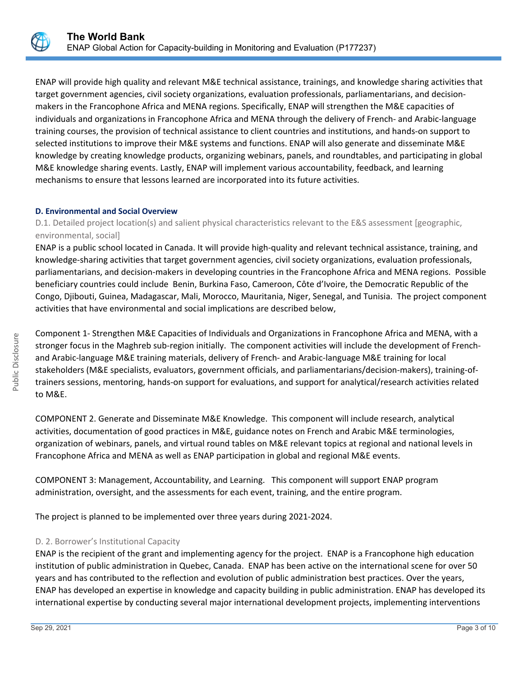

ENAP will provide high quality and relevant M&E technical assistance, trainings, and knowledge sharing activities that target government agencies, civil society organizations, evaluation professionals, parliamentarians, and decisionmakers in the Francophone Africa and MENA regions. Specifically, ENAP will strengthen the M&E capacities of individuals and organizations in Francophone Africa and MENA through the delivery of French- and Arabic-language training courses, the provision of technical assistance to client countries and institutions, and hands-on support to selected institutions to improve their M&E systems and functions. ENAP will also generate and disseminate M&E knowledge by creating knowledge products, organizing webinars, panels, and roundtables, and participating in global M&E knowledge sharing events. Lastly, ENAP will implement various accountability, feedback, and learning mechanisms to ensure that lessons learned are incorporated into its future activities.

#### **D. Environmental and Social Overview**

D.1. Detailed project location(s) and salient physical characteristics relevant to the E&S assessment [geographic, environmental, social]

ENAP is a public school located in Canada. It will provide high-quality and relevant technical assistance, training, and knowledge-sharing activities that target government agencies, civil society organizations, evaluation professionals, parliamentarians, and decision-makers in developing countries in the Francophone Africa and MENA regions. Possible beneficiary countries could include Benin, Burkina Faso, Cameroon, Côte d'Ivoire, the Democratic Republic of the Congo, Djibouti, Guinea, Madagascar, Mali, Morocco, Mauritania, Niger, Senegal, and Tunisia. The project component activities that have environmental and social implications are described below,

Component 1- Strengthen M&E Capacities of Individuals and Organizations in Francophone Africa and MENA, with a stronger focus in the Maghreb sub-region initially. The component activities will include the development of Frenchand Arabic-language M&E training materials, delivery of French- and Arabic-language M&E training for local stakeholders (M&E specialists, evaluators, government officials, and parliamentarians/decision-makers), training-oftrainers sessions, mentoring, hands-on support for evaluations, and support for analytical/research activities related to M&E.

COMPONENT 2. Generate and Disseminate M&E Knowledge. This component will include research, analytical activities, documentation of good practices in M&E, guidance notes on French and Arabic M&E terminologies, organization of webinars, panels, and virtual round tables on M&E relevant topics at regional and national levels in Francophone Africa and MENA as well as ENAP participation in global and regional M&E events.

COMPONENT 3: Management, Accountability, and Learning. This component will support ENAP program administration, oversight, and the assessments for each event, training, and the entire program.

The project is planned to be implemented over three years during 2021-2024.

## D. 2. Borrower's Institutional Capacity

ENAP is the recipient of the grant and implementing agency for the project. ENAP is a Francophone high education institution of public administration in Quebec, Canada. ENAP has been active on the international scene for over 50 years and has contributed to the reflection and evolution of public administration best practices. Over the years, ENAP has developed an expertise in knowledge and capacity building in public administration. ENAP has developed its international expertise by conducting several major international development projects, implementing interventions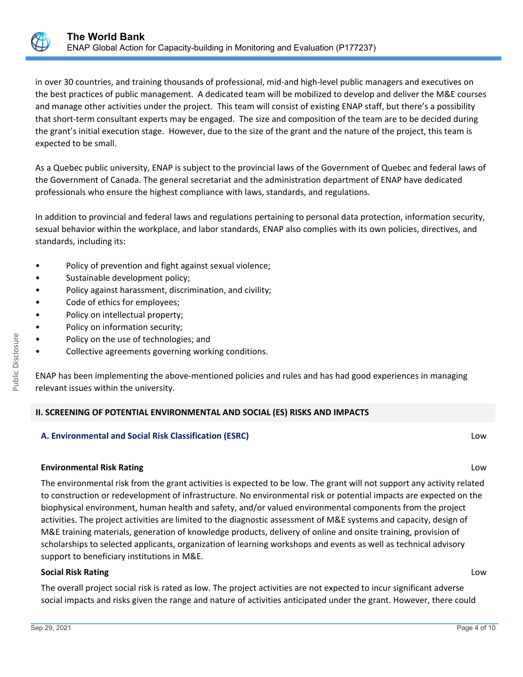

in over 30 countries, and training thousands of professional, mid-and high-level public managers and executives on the best practices of public management. A dedicated team will be mobilized to develop and deliver the M&E courses and manage other activities under the project. This team will consist of existing ENAP staff, but there's a possibility that short-term consultant experts may be engaged. The size and composition of the team are to be decided during the grant's initial execution stage. However, due to the size of the grant and the nature of the project, this team is expected to be small.

As a Quebec public university, ENAP is subject to the provincial laws of the Government of Quebec and federal laws of the Government of Canada. The general secretariat and the administration department of ENAP have dedicated professionals who ensure the highest compliance with laws, standards, and regulations.

In addition to provincial and federal laws and regulations pertaining to personal data protection, information security, sexual behavior within the workplace, and labor standards, ENAP also complies with its own policies, directives, and standards, including its:

- Policy of prevention and fight against sexual violence;
- Sustainable development policy;
- Policy against harassment, discrimination, and civility;
- Code of ethics for employees;
- Policy on intellectual property;
- Policy on information security;
- Policy on the use of technologies; and
- Collective agreements governing working conditions.

ENAP has been implementing the above-mentioned policies and rules and has had good experiences in managing relevant issues within the university.

## **II. SCREENING OF POTENTIAL ENVIRONMENTAL AND SOCIAL (ES) RISKS AND IMPACTS**

## **A. Environmental and Social Risk Classification (ESRC)** Low

## **Environmental Risk Rating** Low

The environmental risk from the grant activities is expected to be low. The grant will not support any activity related to construction or redevelopment of infrastructure. No environmental risk or potential impacts are expected on the biophysical environment, human health and safety, and/or valued environmental components from the project activities. The project activities are limited to the diagnostic assessment of M&E systems and capacity, design of M&E training materials, generation of knowledge products, delivery of online and onsite training, provision of scholarships to selected applicants, organization of learning workshops and events as well as technical advisory support to beneficiary institutions in M&E.

## **Social Risk Rating** Low

The overall project social risk is rated as low. The project activities are not expected to incur significant adverse social impacts and risks given the range and nature of activities anticipated under the grant. However, there could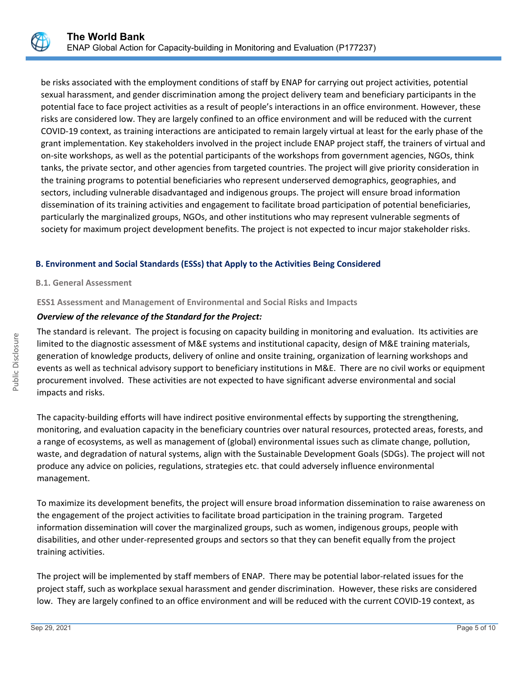

be risks associated with the employment conditions of staff by ENAP for carrying out project activities, potential sexual harassment, and gender discrimination among the project delivery team and beneficiary participants in the potential face to face project activities as a result of people's interactions in an office environment. However, these risks are considered low. They are largely confined to an office environment and will be reduced with the current COVID-19 context, as training interactions are anticipated to remain largely virtual at least for the early phase of the grant implementation. Key stakeholders involved in the project include ENAP project staff, the trainers of virtual and on-site workshops, as well as the potential participants of the workshops from government agencies, NGOs, think tanks, the private sector, and other agencies from targeted countries. The project will give priority consideration in the training programs to potential beneficiaries who represent underserved demographics, geographies, and sectors, including vulnerable disadvantaged and indigenous groups. The project will ensure broad information dissemination of its training activities and engagement to facilitate broad participation of potential beneficiaries, particularly the marginalized groups, NGOs, and other institutions who may represent vulnerable segments of society for maximum project development benefits. The project is not expected to incur major stakeholder risks.

## **B. Environment and Social Standards (ESSs) that Apply to the Activities Being Considered**

#### **B.1. General Assessment**

**ESS1 Assessment and Management of Environmental and Social Risks and Impacts**

## *Overview of the relevance of the Standard for the Project:*

The standard is relevant. The project is focusing on capacity building in monitoring and evaluation. Its activities are limited to the diagnostic assessment of M&E systems and institutional capacity, design of M&E training materials, generation of knowledge products, delivery of online and onsite training, organization of learning workshops and events as well as technical advisory support to beneficiary institutions in M&E. There are no civil works or equipment procurement involved. These activities are not expected to have significant adverse environmental and social impacts and risks.

The capacity-building efforts will have indirect positive environmental effects by supporting the strengthening, monitoring, and evaluation capacity in the beneficiary countries over natural resources, protected areas, forests, and a range of ecosystems, as well as management of (global) environmental issues such as climate change, pollution, waste, and degradation of natural systems, align with the Sustainable Development Goals (SDGs). The project will not produce any advice on policies, regulations, strategies etc. that could adversely influence environmental management.

To maximize its development benefits, the project will ensure broad information dissemination to raise awareness on the engagement of the project activities to facilitate broad participation in the training program. Targeted information dissemination will cover the marginalized groups, such as women, indigenous groups, people with disabilities, and other under-represented groups and sectors so that they can benefit equally from the project training activities.

The project will be implemented by staff members of ENAP. There may be potential labor-related issues for the project staff, such as workplace sexual harassment and gender discrimination. However, these risks are considered low. They are largely confined to an office environment and will be reduced with the current COVID-19 context, as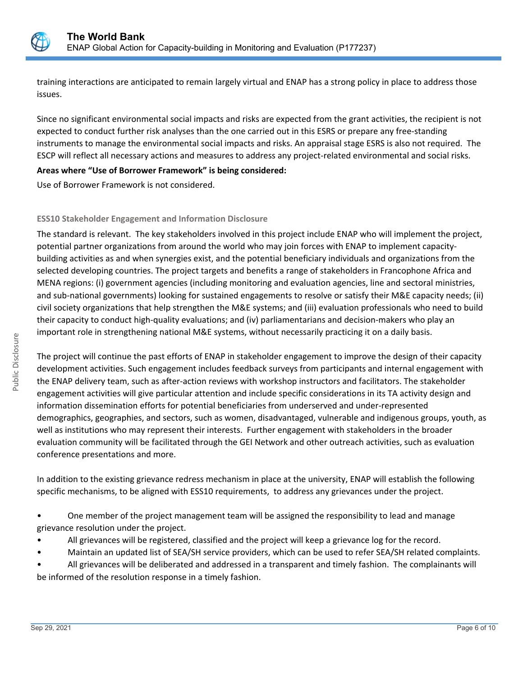

training interactions are anticipated to remain largely virtual and ENAP has a strong policy in place to address those issues.

Since no significant environmental social impacts and risks are expected from the grant activities, the recipient is not expected to conduct further risk analyses than the one carried out in this ESRS or prepare any free-standing instruments to manage the environmental social impacts and risks. An appraisal stage ESRS is also not required. The ESCP will reflect all necessary actions and measures to address any project-related environmental and social risks.

## **Areas where "Use of Borrower Framework" is being considered:**

Use of Borrower Framework is not considered.

#### **ESS10 Stakeholder Engagement and Information Disclosure**

The standard is relevant. The key stakeholders involved in this project include ENAP who will implement the project, potential partner organizations from around the world who may join forces with ENAP to implement capacitybuilding activities as and when synergies exist, and the potential beneficiary individuals and organizations from the selected developing countries. The project targets and benefits a range of stakeholders in Francophone Africa and MENA regions: (i) government agencies (including monitoring and evaluation agencies, line and sectoral ministries, and sub-national governments) looking for sustained engagements to resolve or satisfy their M&E capacity needs; (ii) civil society organizations that help strengthen the M&E systems; and (iii) evaluation professionals who need to build their capacity to conduct high-quality evaluations; and (iv) parliamentarians and decision-makers who play an important role in strengthening national M&E systems, without necessarily practicing it on a daily basis.

The project will continue the past efforts of ENAP in stakeholder engagement to improve the design of their capacity development activities. Such engagement includes feedback surveys from participants and internal engagement with the ENAP delivery team, such as after-action reviews with workshop instructors and facilitators. The stakeholder engagement activities will give particular attention and include specific considerations in its TA activity design and information dissemination efforts for potential beneficiaries from underserved and under-represented demographics, geographies, and sectors, such as women, disadvantaged, vulnerable and indigenous groups, youth, as well as institutions who may represent their interests. Further engagement with stakeholders in the broader evaluation community will be facilitated through the GEI Network and other outreach activities, such as evaluation conference presentations and more.

In addition to the existing grievance redress mechanism in place at the university, ENAP will establish the following specific mechanisms, to be aligned with ESS10 requirements, to address any grievances under the project.

- One member of the project management team will be assigned the responsibility to lead and manage grievance resolution under the project.
- All grievances will be registered, classified and the project will keep a grievance log for the record.
- Maintain an updated list of SEA/SH service providers, which can be used to refer SEA/SH related complaints.
- All grievances will be deliberated and addressed in a transparent and timely fashion. The complainants will be informed of the resolution response in a timely fashion.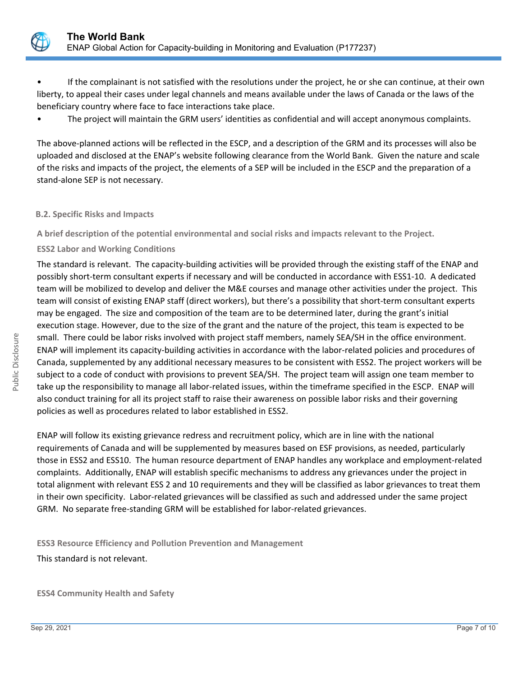

• If the complainant is not satisfied with the resolutions under the project, he or she can continue, at their own liberty, to appeal their cases under legal channels and means available under the laws of Canada or the laws of the beneficiary country where face to face interactions take place.

• The project will maintain the GRM users' identities as confidential and will accept anonymous complaints.

The above-planned actions will be reflected in the ESCP, and a description of the GRM and its processes will also be uploaded and disclosed at the ENAP's website following clearance from the World Bank. Given the nature and scale of the risks and impacts of the project, the elements of a SEP will be included in the ESCP and the preparation of a stand-alone SEP is not necessary.

#### **B.2. Specific Risks and Impacts**

**A brief description of the potential environmental and social risks and impacts relevant to the Project.**

#### **ESS2 Labor and Working Conditions**

The standard is relevant. The capacity-building activities will be provided through the existing staff of the ENAP and possibly short-term consultant experts if necessary and will be conducted in accordance with ESS1-10. A dedicated team will be mobilized to develop and deliver the M&E courses and manage other activities under the project. This team will consist of existing ENAP staff (direct workers), but there's a possibility that short-term consultant experts may be engaged. The size and composition of the team are to be determined later, during the grant's initial execution stage. However, due to the size of the grant and the nature of the project, this team is expected to be small. There could be labor risks involved with project staff members, namely SEA/SH in the office environment. ENAP will implement its capacity-building activities in accordance with the labor-related policies and procedures of Canada, supplemented by any additional necessary measures to be consistent with ESS2. The project workers will be subject to a code of conduct with provisions to prevent SEA/SH. The project team will assign one team member to take up the responsibility to manage all labor-related issues, within the timeframe specified in the ESCP. ENAP will also conduct training for all its project staff to raise their awareness on possible labor risks and their governing policies as well as procedures related to labor established in ESS2.

ENAP will follow its existing grievance redress and recruitment policy, which are in line with the national requirements of Canada and will be supplemented by measures based on ESF provisions, as needed, particularly those in ESS2 and ESS10. The human resource department of ENAP handles any workplace and employment-related complaints. Additionally, ENAP will establish specific mechanisms to address any grievances under the project in total alignment with relevant ESS 2 and 10 requirements and they will be classified as labor grievances to treat them in their own specificity. Labor-related grievances will be classified as such and addressed under the same project GRM. No separate free-standing GRM will be established for labor-related grievances.

**ESS3 Resource Efficiency and Pollution Prevention and Management**

This standard is not relevant.

**ESS4 Community Health and Safety**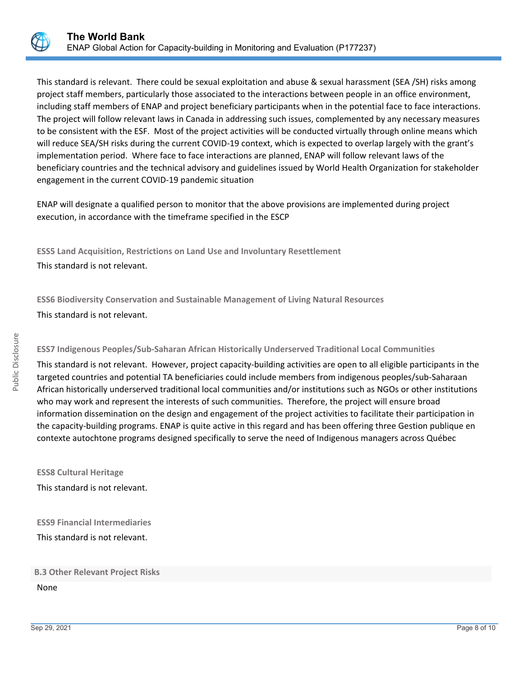

This standard is relevant. There could be sexual exploitation and abuse & sexual harassment (SEA /SH) risks among project staff members, particularly those associated to the interactions between people in an office environment, including staff members of ENAP and project beneficiary participants when in the potential face to face interactions. The project will follow relevant laws in Canada in addressing such issues, complemented by any necessary measures to be consistent with the ESF. Most of the project activities will be conducted virtually through online means which will reduce SEA/SH risks during the current COVID-19 context, which is expected to overlap largely with the grant's implementation period. Where face to face interactions are planned, ENAP will follow relevant laws of the beneficiary countries and the technical advisory and guidelines issued by World Health Organization for stakeholder engagement in the current COVID-19 pandemic situation

ENAP will designate a qualified person to monitor that the above provisions are implemented during project execution, in accordance with the timeframe specified in the ESCP

**ESS5 Land Acquisition, Restrictions on Land Use and Involuntary Resettlement** This standard is not relevant.

**ESS6 Biodiversity Conservation and Sustainable Management of Living Natural Resources** This standard is not relevant.

## **ESS7 Indigenous Peoples/Sub-Saharan African Historically Underserved Traditional Local Communities**

This standard is not relevant. However, project capacity-building activities are open to all eligible participants in the targeted countries and potential TA beneficiaries could include members from indigenous peoples/sub-Saharaan African historically underserved traditional local communities and/or institutions such as NGOs or other institutions who may work and represent the interests of such communities. Therefore, the project will ensure broad information dissemination on the design and engagement of the project activities to facilitate their participation in the capacity-building programs. ENAP is quite active in this regard and has been offering three Gestion publique en contexte autochtone programs designed specifically to serve the need of Indigenous managers across Québec

**ESS8 Cultural Heritage** This standard is not relevant.

**ESS9 Financial Intermediaries** This standard is not relevant.

#### **B.3 Other Relevant Project Risks**

None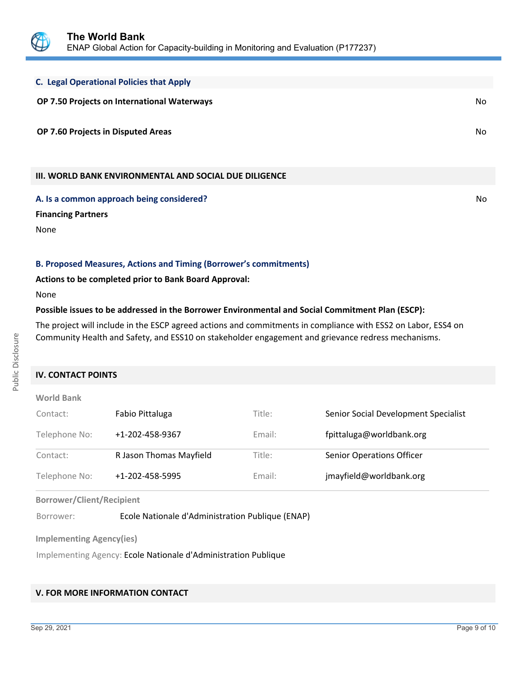

| <b>C. Legal Operational Policies that Apply</b>               |     |
|---------------------------------------------------------------|-----|
| OP 7.50 Projects on International Waterways                   | No. |
| OP 7.60 Projects in Disputed Areas                            | No. |
| <b>III. WORLD BANK ENVIRONMENTAL AND SOCIAL DUE DILIGENCE</b> |     |

**A. Is a common approach being considered?** No **No. 2016** No. 2016 No. 2017 No. 2018 No. 2018 No. 2019 No. 2019 No

**Financing Partners**

None

**B. Proposed Measures, Actions and Timing (Borrower's commitments)**

**Actions to be completed prior to Bank Board Approval:**

None

#### **Possible issues to be addressed in the Borrower Environmental and Social Commitment Plan (ESCP):**

The project will include in the ESCP agreed actions and commitments in compliance with ESS2 on Labor, ESS4 on Community Health and Safety, and ESS10 on stakeholder engagement and grievance redress mechanisms.

#### **IV. CONTACT POINTS**

| <b>World Bank</b> |                         |        |                                      |
|-------------------|-------------------------|--------|--------------------------------------|
| Contact:          | Fabio Pittaluga         | Title: | Senior Social Development Specialist |
| Telephone No:     | +1-202-458-9367         | Email: | fpittaluga@worldbank.org             |
| Contact:          | R Jason Thomas Mayfield | Title: | <b>Senior Operations Officer</b>     |
| Telephone No:     | +1-202-458-5995         | Email: | jmayfield@worldbank.org              |

**Borrower/Client/Recipient**

Borrower: Ecole Nationale d'Administration Publique (ENAP)

**Implementing Agency(ies)**

Implementing Agency: Ecole Nationale d'Administration Publique

## **V. FOR MORE INFORMATION CONTACT**